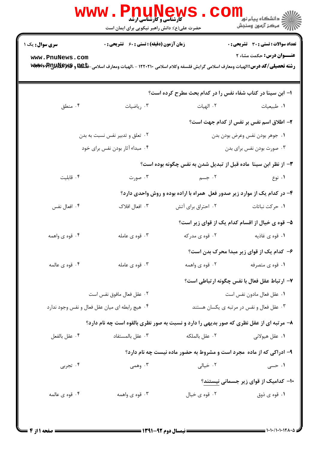|                                           | <b>WWW .</b><br><b>کارشناسی و کارشناسی ارشد</b><br>حضرت علی(ع): دانش راهبر نیکویی برای ایمان است                                                                         |                                                                            | ڪ دانشڪاه پيا <sub>م</sub> نور ■<br><mark>پ</mark> = مرڪز آزمون وسنڊش            |  |
|-------------------------------------------|--------------------------------------------------------------------------------------------------------------------------------------------------------------------------|----------------------------------------------------------------------------|----------------------------------------------------------------------------------|--|
| <b>سری سوال :</b> یک ۱<br>www.PnuNews.com | <b>زمان آزمون (دقیقه) : تستی : 60 ٪ تشریحی : 0</b><br>رشته تحصیلی/کد درس:الهیات ومعارف اسلامی گرایش فلسفه وکلام اسلامی ۱۲۲۰۲۱۰ - ،الهیات ومعارف اسلامی-ظکیلا و MWW۶V۴VPI |                                                                            | <b>تعداد سوالات : تستي : 30 ٪ تشريحي : 0</b><br><b>عنـــوان درس:</b> حکمت مشاء ۲ |  |
|                                           |                                                                                                                                                                          | ا– ابن سینا در کتاب شفاء نفس را در کدام بحث مطرح کرده است؟                 |                                                                                  |  |
| ۰۴ منطق                                   | ۰۳ رياضيات                                                                                                                                                               | ٠٢ الهيات                                                                  | ۰۱ طبیعیات                                                                       |  |
|                                           |                                                                                                                                                                          |                                                                            | ۲– اطلاق اسم نفس بر نفس از کدام جهت است؟                                         |  |
|                                           | ۰۲ تعلق و تدبیر نفس نسبت به بدن                                                                                                                                          |                                                                            | ٠١ جوهر بودن نفس وعرض بودن بدن                                                   |  |
|                                           | ۰۴ مبداء آثار بودن نفس برای خود                                                                                                                                          |                                                                            | ۰۳ صورت بودن نفس برای بدن                                                        |  |
|                                           |                                                                                                                                                                          | ۳- از نظر ابن سینا ً ماده قبل از تبدیل شدن به نفس چگونه بوده است؟          |                                                                                  |  |
| ۰۴ قابلیت                                 | ۰۳ صورت                                                                                                                                                                  | ۰۲ جسم                                                                     | ۰۱ نوع                                                                           |  |
|                                           |                                                                                                                                                                          | ۴- در کدام یک از موارد زیر صدور فعل ًهمراه با اراده بوده و روش واحدی دارد؟ |                                                                                  |  |
| ۰۴ افعال نفس                              | ۰۳ افعال افلاک                                                                                                                                                           | ۰۲ احتراق برای آتش                                                         | ۰۱ حرکت نباتات                                                                   |  |
|                                           |                                                                                                                                                                          |                                                                            | ۵– قوه ی خیال از اقسام کدام یک از قوای زیر است؟                                  |  |
| ۰۴ قوه ی واهمه                            | ۰۳ قوه ی عامله                                                                                                                                                           | ۰۲ قوه ی مدرکه                                                             | ٠١ قوه ي غاذيه                                                                   |  |
|                                           |                                                                                                                                                                          |                                                                            | ۶– کدام یک از قوای زیر مبدا محرک بدن است؟                                        |  |
| ۰۴ قوه ی عالمه                            | ۰۳ قوه ی عامله                                                                                                                                                           | ۰۲ قوه ی واهمه                                                             | ۰۱ قوه ی متصرفه                                                                  |  |
|                                           |                                                                                                                                                                          |                                                                            | ٧- ارتباط عقل فعال با نفس چگونه ارتباطي است؟                                     |  |
|                                           | ٠٢ عقل فعال مافوق نفس است                                                                                                                                                |                                                                            | ٠١ عقل فعال مادون نفس است                                                        |  |
|                                           | ۰۴ هیچ رابطه ای میان عقل فعال و نفس وجود ندارد                                                                                                                           |                                                                            | ۰۳ عقل فعال و نفس در مرتبه ی یکسان هستند                                         |  |
|                                           | ۸- مرتبه ای از عقل نظری که صور بدیهی را دارد و نسبت به صور نظری بالقوه است چه نام دارد؟                                                                                  |                                                                            |                                                                                  |  |
| ۰۴ عقل بالفعل                             | ۰۳ عقل بالمستفاد                                                                                                                                                         | ٢. عقل بالملكه                                                             | ۰۱ عقل هيولاني                                                                   |  |
|                                           |                                                                                                                                                                          | ۹- ادراکی که از ماده ًمجرد است و مشروط به حضور ماده نیست چه نام دارد؟      |                                                                                  |  |
| ۰۴ تجربی                                  | ۰۳ وهمی                                                                                                                                                                  | ۰۲ خیالی                                                                   | ۱. حسی                                                                           |  |
|                                           |                                                                                                                                                                          |                                                                            | ۱۰– کدامیک از قوای زیر جسمانی نیستند؟                                            |  |
| ۰۴ قوه ی عالمه                            | ۰۳ قوه ی واهمه                                                                                                                                                           | ۰۲ قوه ی خیال                                                              | ۰۱ قوه ی ذوق                                                                     |  |
|                                           |                                                                                                                                                                          |                                                                            |                                                                                  |  |
|                                           |                                                                                                                                                                          |                                                                            |                                                                                  |  |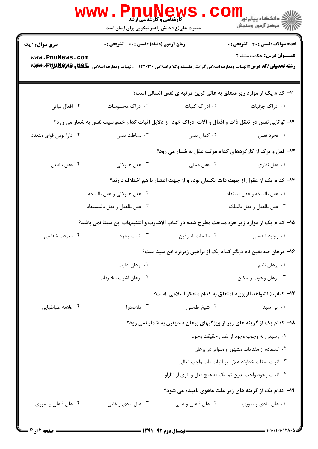|                                           | WWW.PnuNews<br>حضرت علی(ع): دانش راهبر نیکویی برای ایمان است |                     | الاد دانشگاه پيام نور <mark>− .</mark><br>الا                                                                      |
|-------------------------------------------|--------------------------------------------------------------|---------------------|--------------------------------------------------------------------------------------------------------------------|
| <b>سری سوال : ۱ یک</b><br>www.PnuNews.com | <b>زمان آزمون (دقیقه) : تستی : 60 ٪ تشریحی : 0</b>           |                     | تعداد سوالات : تستي : 30 - تشريحي : 0<br><b>عنـــوان درس:</b> حکمت مشاء ۲                                          |
|                                           |                                                              |                     | رشته تحصیلی/کد درس:الهیات ومعارف اسلامی گرایش فلسفه وکلام اسلامی ۱۲۲۰۲۱۰ - ،الهیات ومعارف اسلامی-ظکیلا و MWW۶V۴VPI |
|                                           |                                                              |                     | 11- کدام یک از موارد زیر متعلق به عالی ترین مرتبه ی نفس انسانی است؟                                                |
| ۰۴ افعال نباتی                            | ۰۳ ادراک محسوسات                                             | ۰۲ ادراک کلیات      | ۰۱ ادراک جزئیات                                                                                                    |
|                                           |                                                              |                     | ۱۲- توانایی نفس در تعقل ذات و افعال و آلات ادراک خود ًاز دلایل اثبات کدام خصوصیت نفس به شمار می رود؟               |
| ۰۴ دارا بودن قواي متعدد                   | ۰۳ بساطت نفس                                                 | ۰۲ کمال نفس         | ۰۱ تجرد نفس                                                                                                        |
|                                           |                                                              |                     | ۱۳- فعل و ترک از کارکردهای کدام مرتبه عقل به شمار می رود؟                                                          |
| ۰۴ عقل بالفعل                             | ۰۳ عقل هیولانی                                               | ۰۲ عقل عملی         | ۰۱ عقل نظری                                                                                                        |
|                                           |                                                              |                     | ۱۴– کدام یک از عقول از جهت ذات یکسان بوده و از جهت اعتبار با هم اختلاف دارند؟                                      |
|                                           | ۰۲ عقل هیولانی و عقل بالملکه                                 |                     | ٠١ عقل بالملكه و عقل مستفاد                                                                                        |
|                                           | ۰۴ عقل بالفعل و عقل بالمستفاد                                |                     | ٠٣ عقل بالفعل و عقل بالملكه                                                                                        |
|                                           |                                                              |                     | ∆ا− کدام یک از موارد زیر جزء مباحث مطرح شده در کتاب الاشارت و التنبیهات ابن سینا نمی باشد؟                         |
| ۰۴ معرفت شناسي                            | ۰۳ اثبات وجود                                                | ٢. مقامات العارفين  | ۰۱ وجود شناسی                                                                                                      |
|                                           |                                                              |                     | ۱۶- برهان صدیقین نام دیگر کدام یک از براهین زیرنزد ابن سینا ست؟                                                    |
|                                           | ۰۲ برهان عليت                                                |                     | ۰۱ برهان نظم                                                                                                       |
|                                           | ۰۴ برهان اشرف مخلوقات                                        |                     | ۰۳ برهان وجوب و امکان                                                                                              |
|                                           |                                                              |                     | IY− كتاب (الشواهد الربوبيه )متعلق به كدام متفكر اسلامي  است؟                                                       |
| ۰۴ علامه طباطبايي                         | ۰۳ ملاصدرا                                                   | ۰۲ شیخ طوسی         | ۰۱ ابن سینا                                                                                                        |
|                                           |                                                              |                     | 18- کدام یک از گزینه های زیر از ویژگیهای برهان صدیقین به شمار نمی رود؟                                             |
|                                           |                                                              |                     | ٠١. رسيدن به وجوب وجود از نفس حقيقت وجود                                                                           |
|                                           |                                                              |                     | ۰۲ استفاده از مقدمات مشهور و متواتر در برهان                                                                       |
|                                           |                                                              |                     | ۰۳ اثبات صفات خداوند علاوه بر اثبات ذات واجب تعالى                                                                 |
|                                           |                                                              |                     | ۰۴ اثبات وجود واجب بدون تمسک به هیچ فعل و اثری از آثاراو                                                           |
|                                           |                                                              |                     | ۱۹- کدام یک از گزینه های زیر علت ماهوی نامیده می شود؟                                                              |
| ۰۴ علل فاعلی و صوری                       | ۰۳ علل مادي و غايي                                           | ۰۲ علل فاعلی و غایی | ۰۱ علل مادی و صوری                                                                                                 |
|                                           |                                                              |                     |                                                                                                                    |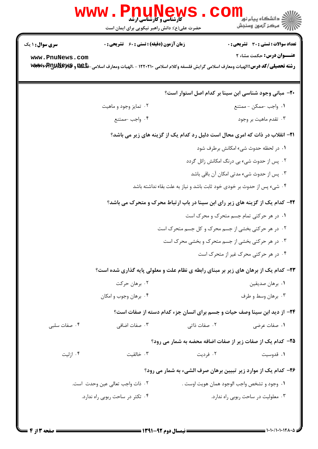|                                           | <b>کارشناسی و کارشناسی ارشد</b><br>حضرت علی(ع): دانش راهبر نیکویی برای ایمان است |              | <mark>د</mark> دانشگاه پيام نو <mark>ر</mark><br>7 مرڪز آزمون وسنڊش                                                                                                                                   |
|-------------------------------------------|----------------------------------------------------------------------------------|--------------|-------------------------------------------------------------------------------------------------------------------------------------------------------------------------------------------------------|
| <b>سری سوال : ۱ یک</b><br>www.PnuNews.com | <b>زمان آزمون (دقیقه) : تستی : 60 ٪ تشریحی : 0</b>                               |              | تعداد سوالات : تستى : 30 ٪ تشريحي : 0<br><b>عنـــوان درس:</b> حکمت مشاء 2<br>رشته تحصیلی/کد درس:الهیات ومعارف اسلامی گرایش فلسفه وکلام اسلامی ۱۲۲۰۲۱۰ - ،الهیات ومعارف اسلامی-ظکیله پیلا با WWW۲۴V۴VE |
|                                           |                                                                                  |              | <b>۲۰</b> - مبانی وجود شناسی ابن سینا بر کدام اصل استوار است؟                                                                                                                                         |
|                                           | ۰۲ تمایز وجود و ماهیت                                                            |              | ۰۱ واجب -ممکن - ممتنع                                                                                                                                                                                 |
|                                           | ۰۴ واجب -ممتنع                                                                   |              | ۰۳ تقدم ماهيت بر وجود                                                                                                                                                                                 |
|                                           |                                                                                  |              | <b>۲۱</b> - انقلاب در ذات که امری محال است دلیل رد کدام یک از گزینه های زیر می باشد؟                                                                                                                  |
|                                           |                                                                                  |              | ۰۱ در لحظه حدوث شيء امكانش برطرف شود                                                                                                                                                                  |
|                                           |                                                                                  |              | ۰۲ پس از حدوث شیء بی درنگ امکانش زائل گردد                                                                                                                                                            |
|                                           |                                                                                  |              | ۰۳ پس از حدوث شيء مدتي امكان آن باقي باشد                                                                                                                                                             |
|                                           |                                                                                  |              | ۰۴ شیء پس از حدوث بر خودی خود ثابت باشد و نیاز به علت بقاء نداشته باشد                                                                                                                                |
|                                           |                                                                                  |              | ۲۲- کدام یک از گزینه های زیر رای ابن سینا در باب ارتباط محرک و متحرک می باشد؟                                                                                                                         |
|                                           |                                                                                  |              | ۰۱ در هر حرکتی تمام جسم متحرک و محرک است                                                                                                                                                              |
|                                           |                                                                                  |              | ۰۲ در هر حرکتی بخشی از جسم محرک و کل جسم متحرک است                                                                                                                                                    |
|                                           |                                                                                  |              | ۰۳ در هر حرکتی بخشی از جسم متحرک و بخشی محرک است                                                                                                                                                      |
|                                           |                                                                                  |              | ۰۴ در هر حرکتی محرک غیر از متحرک است                                                                                                                                                                  |
|                                           |                                                                                  |              | <b>۲۳</b> - کدام یک از برهان های زیر بر مبنای رابطه ی نظام علت و معلولی پایه گذاری شده است؟                                                                                                           |
|                                           | ۰۲ برهان حرکت                                                                    |              | ٠١ برهان صديقين                                                                                                                                                                                       |
|                                           | ۰۴ برهان وجوب و امکان                                                            |              | ۰۳ برهان وسط و طرف                                                                                                                                                                                    |
|                                           |                                                                                  |              | <b>34</b> - از دید ابن سینا وصف حیات و جسم برای انسان جزء کدام دسته از صفات است؟                                                                                                                      |
| ۰۴ صفات سلبی                              | ۰۳ صفات اضافی                                                                    | ۰۲ صفات ذاتی | ۰۱ صفات عرضی                                                                                                                                                                                          |
|                                           |                                                                                  |              | ۲۵- کدام یک از صفات زیر از صفات اضافه محضه به شمار می رود؟                                                                                                                                            |
| ۰۴ ازلیت                                  | ۰۳ خالقیت                                                                        | ۰۲ فرديت     | ۰۱ قدوسیت                                                                                                                                                                                             |
|                                           |                                                                                  |              | ۲۶– کدام یک از موارد زیر تبیین برهان صرف الشیء به شمار می رود؟                                                                                                                                        |
|                                           | ٠٢ ذات واجب تعالى عين وحدت است.                                                  |              | ٠١. وجود و تشخص واجب الوجود همان هويت اوست .                                                                                                                                                          |
|                                           | ۰۴ تکثر در ساحت ربوبی راه ندارد.                                                 |              | ۰۳ معلولیت در ساحت ربوبی راه ندارد.                                                                                                                                                                   |
|                                           |                                                                                  |              |                                                                                                                                                                                                       |
|                                           |                                                                                  |              |                                                                                                                                                                                                       |

**DESIMATE** 

 $\blacksquare$ 

**STAR**